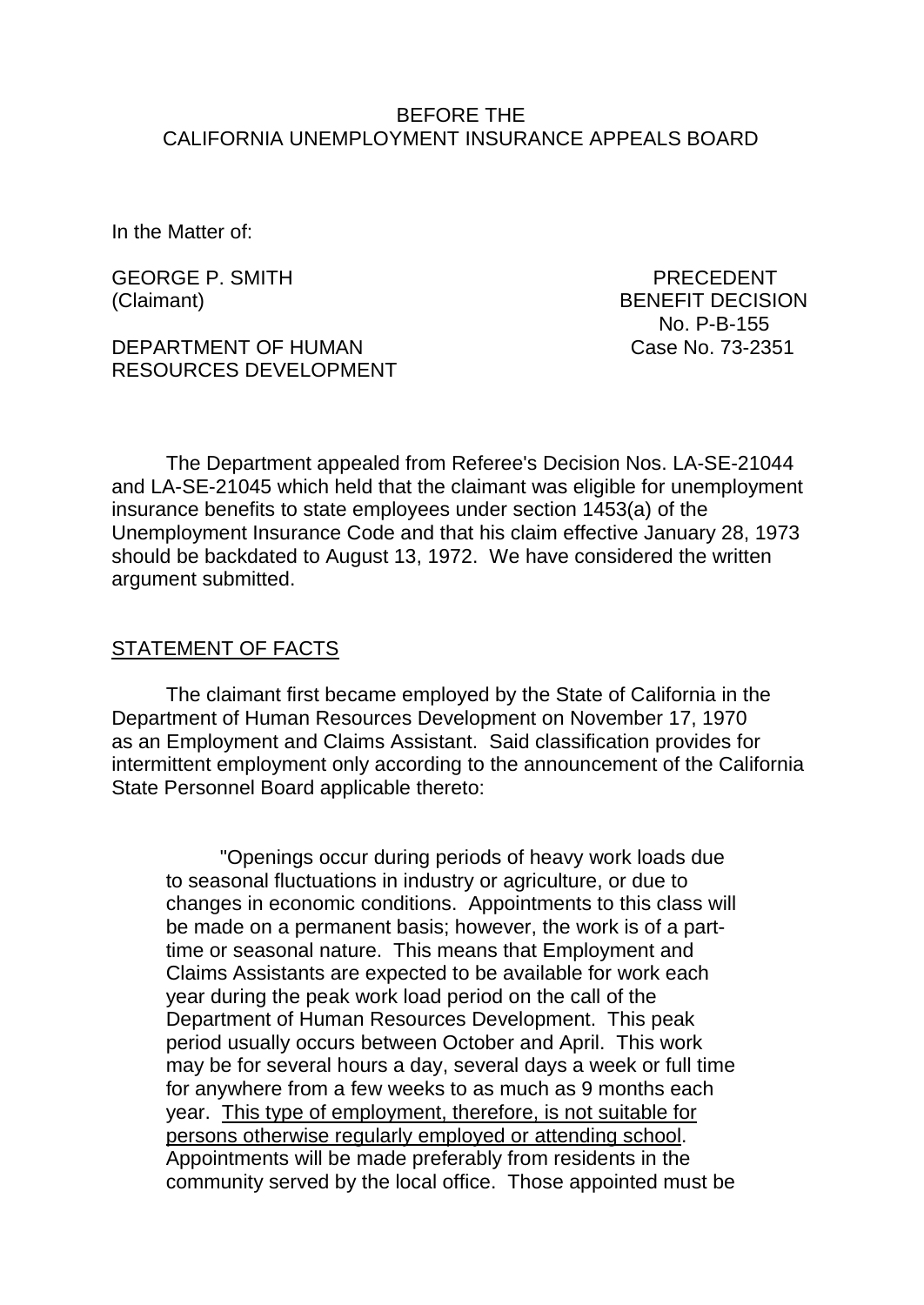### BEFORE THE CALIFORNIA UNEMPLOYMENT INSURANCE APPEALS BOARD

In the Matter of:

GEORGE P. SMITH **EXECUTE:** PRECEDENT

DEPARTMENT OF HUMAN Case No. 73-2351 RESOURCES DEVELOPMENT

(Claimant) BENEFIT DECISION No. P-B-155

The Department appealed from Referee's Decision Nos. LA-SE-21044 and LA-SE-21045 which held that the claimant was eligible for unemployment insurance benefits to state employees under section 1453(a) of the Unemployment Insurance Code and that his claim effective January 28, 1973 should be backdated to August 13, 1972. We have considered the written argument submitted.

#### STATEMENT OF FACTS

The claimant first became employed by the State of California in the Department of Human Resources Development on November 17, 1970 as an Employment and Claims Assistant. Said classification provides for intermittent employment only according to the announcement of the California State Personnel Board applicable thereto:

"Openings occur during periods of heavy work loads due to seasonal fluctuations in industry or agriculture, or due to changes in economic conditions. Appointments to this class will be made on a permanent basis; however, the work is of a parttime or seasonal nature. This means that Employment and Claims Assistants are expected to be available for work each year during the peak work load period on the call of the Department of Human Resources Development. This peak period usually occurs between October and April. This work may be for several hours a day, several days a week or full time for anywhere from a few weeks to as much as 9 months each year. This type of employment, therefore, is not suitable for persons otherwise regularly employed or attending school. Appointments will be made preferably from residents in the community served by the local office. Those appointed must be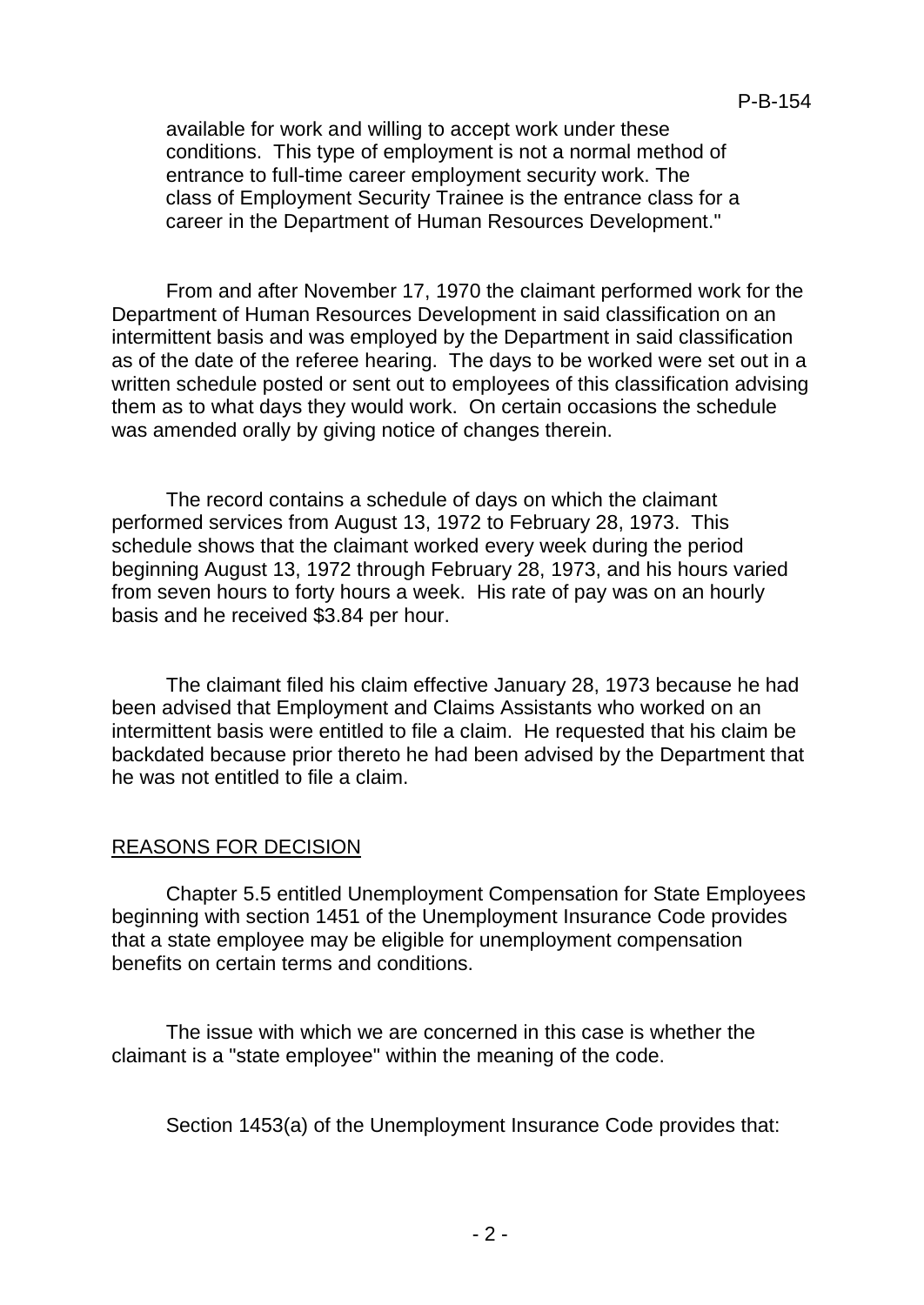available for work and willing to accept work under these conditions. This type of employment is not a normal method of entrance to full-time career employment security work. The class of Employment Security Trainee is the entrance class for a career in the Department of Human Resources Development."

From and after November 17, 1970 the claimant performed work for the Department of Human Resources Development in said classification on an intermittent basis and was employed by the Department in said classification as of the date of the referee hearing. The days to be worked were set out in a written schedule posted or sent out to employees of this classification advising them as to what days they would work. On certain occasions the schedule was amended orally by giving notice of changes therein.

The record contains a schedule of days on which the claimant performed services from August 13, 1972 to February 28, 1973. This schedule shows that the claimant worked every week during the period beginning August 13, 1972 through February 28, 1973, and his hours varied from seven hours to forty hours a week. His rate of pay was on an hourly basis and he received \$3.84 per hour.

The claimant filed his claim effective January 28, 1973 because he had been advised that Employment and Claims Assistants who worked on an intermittent basis were entitled to file a claim. He requested that his claim be backdated because prior thereto he had been advised by the Department that he was not entitled to file a claim.

### REASONS FOR DECISION

Chapter 5.5 entitled Unemployment Compensation for State Employees beginning with section 1451 of the Unemployment Insurance Code provides that a state employee may be eligible for unemployment compensation benefits on certain terms and conditions.

The issue with which we are concerned in this case is whether the claimant is a "state employee" within the meaning of the code.

Section 1453(a) of the Unemployment Insurance Code provides that: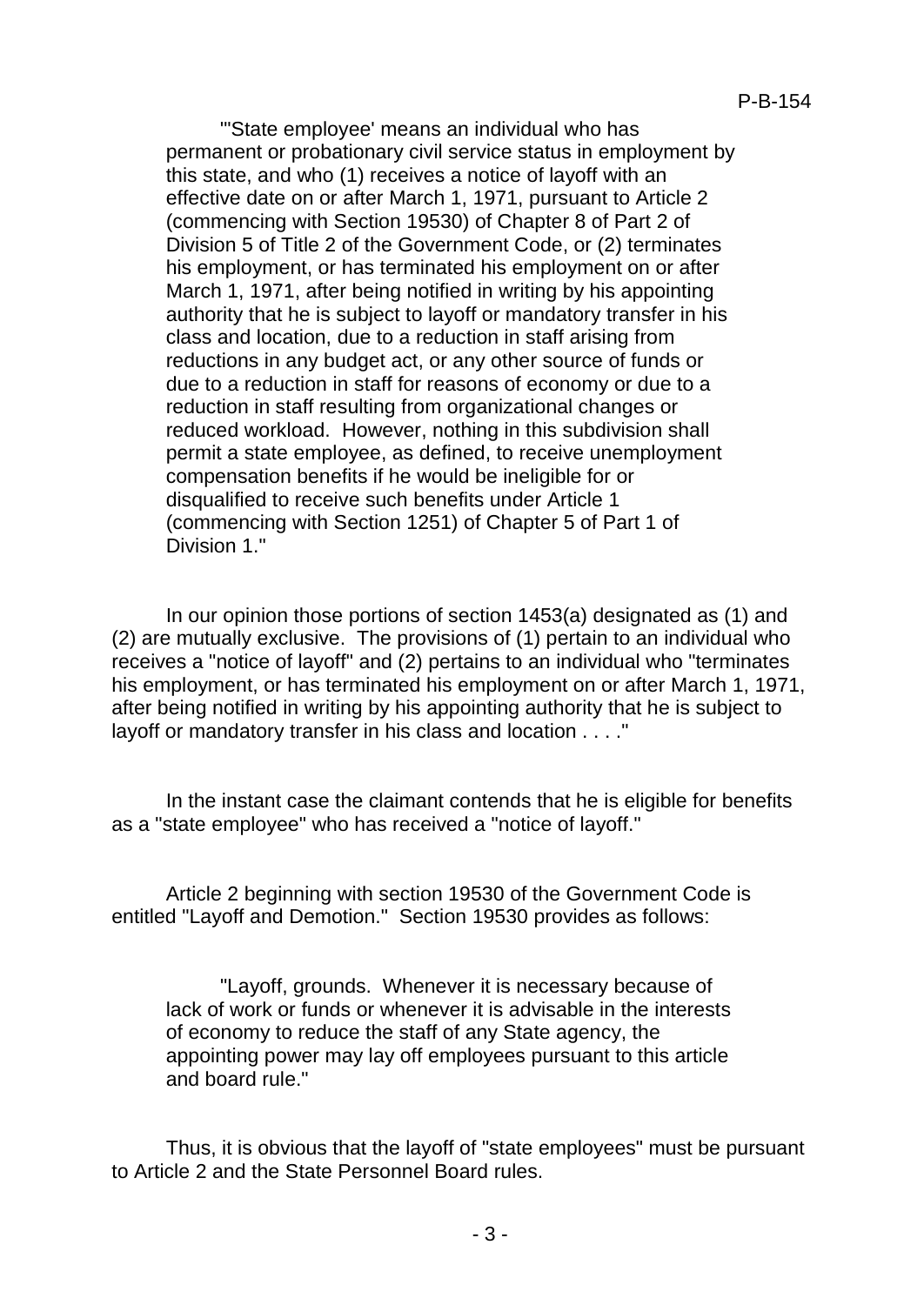'"State employee' means an individual who has permanent or probationary civil service status in employment by this state, and who (1) receives a notice of layoff with an effective date on or after March 1, 1971, pursuant to Article 2 (commencing with Section 19530) of Chapter 8 of Part 2 of Division 5 of Title 2 of the Government Code, or (2) terminates his employment, or has terminated his employment on or after March 1, 1971, after being notified in writing by his appointing authority that he is subject to layoff or mandatory transfer in his class and location, due to a reduction in staff arising from reductions in any budget act, or any other source of funds or due to a reduction in staff for reasons of economy or due to a reduction in staff resulting from organizational changes or reduced workload. However, nothing in this subdivision shall permit a state employee, as defined, to receive unemployment compensation benefits if he would be ineligible for or disqualified to receive such benefits under Article 1 (commencing with Section 1251) of Chapter 5 of Part 1 of Division 1."

In our opinion those portions of section 1453(a) designated as (1) and (2) are mutually exclusive. The provisions of (1) pertain to an individual who receives a "notice of layoff" and (2) pertains to an individual who "terminates his employment, or has terminated his employment on or after March 1, 1971, after being notified in writing by his appointing authority that he is subject to layoff or mandatory transfer in his class and location . . . ."

In the instant case the claimant contends that he is eligible for benefits as a "state employee" who has received a "notice of layoff."

Article 2 beginning with section 19530 of the Government Code is entitled "Layoff and Demotion." Section 19530 provides as follows:

"Layoff, grounds. Whenever it is necessary because of lack of work or funds or whenever it is advisable in the interests of economy to reduce the staff of any State agency, the appointing power may lay off employees pursuant to this article and board rule."

Thus, it is obvious that the layoff of "state employees" must be pursuant to Article 2 and the State Personnel Board rules.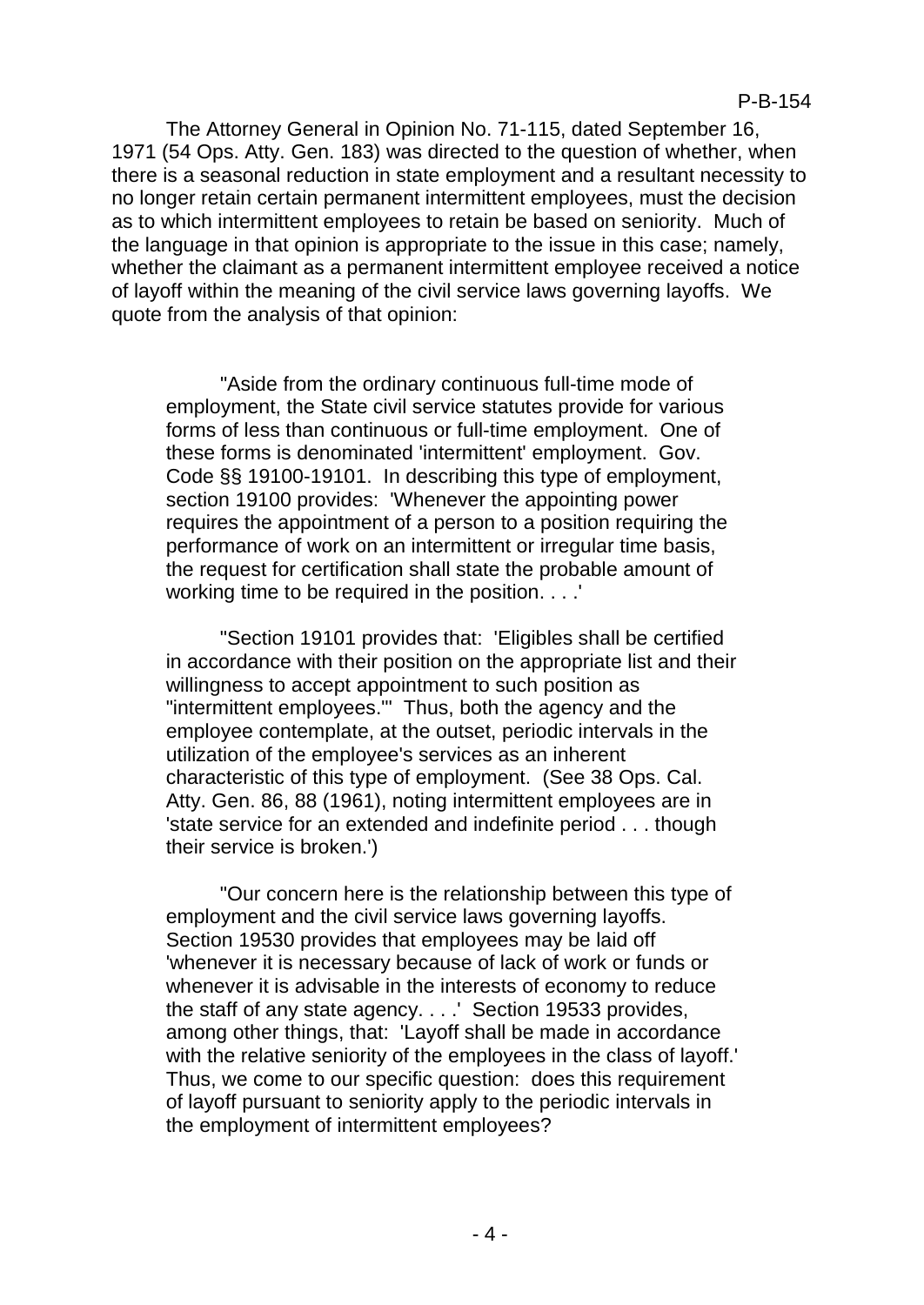The Attorney General in Opinion No. 71-115, dated September 16, 1971 (54 Ops. Atty. Gen. 183) was directed to the question of whether, when there is a seasonal reduction in state employment and a resultant necessity to no longer retain certain permanent intermittent employees, must the decision as to which intermittent employees to retain be based on seniority. Much of the language in that opinion is appropriate to the issue in this case; namely, whether the claimant as a permanent intermittent employee received a notice of layoff within the meaning of the civil service laws governing layoffs. We quote from the analysis of that opinion:

"Aside from the ordinary continuous full-time mode of employment, the State civil service statutes provide for various forms of less than continuous or full-time employment. One of these forms is denominated 'intermittent' employment. Gov. Code §§ 19100-19101. In describing this type of employment, section 19100 provides: 'Whenever the appointing power requires the appointment of a person to a position requiring the performance of work on an intermittent or irregular time basis, the request for certification shall state the probable amount of working time to be required in the position. . . .'

"Section 19101 provides that: 'Eligibles shall be certified in accordance with their position on the appropriate list and their willingness to accept appointment to such position as "intermittent employees."' Thus, both the agency and the employee contemplate, at the outset, periodic intervals in the utilization of the employee's services as an inherent characteristic of this type of employment. (See 38 Ops. Cal. Atty. Gen. 86, 88 (1961), noting intermittent employees are in 'state service for an extended and indefinite period . . . though their service is broken.')

"Our concern here is the relationship between this type of employment and the civil service laws governing layoffs. Section 19530 provides that employees may be laid off 'whenever it is necessary because of lack of work or funds or whenever it is advisable in the interests of economy to reduce the staff of any state agency. . . .' Section 19533 provides, among other things, that: 'Layoff shall be made in accordance with the relative seniority of the employees in the class of layoff.' Thus, we come to our specific question: does this requirement of layoff pursuant to seniority apply to the periodic intervals in the employment of intermittent employees?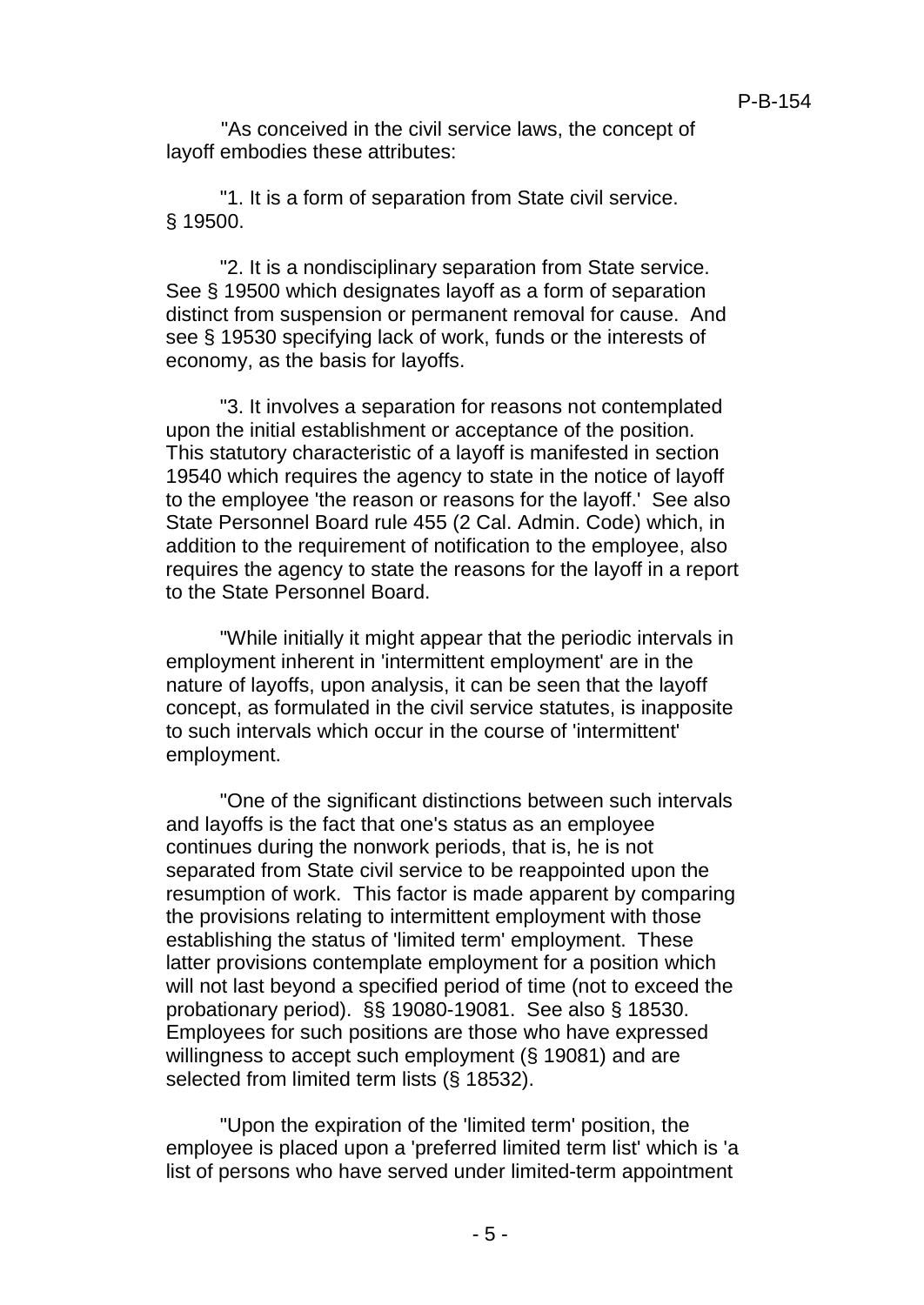"As conceived in the civil service laws, the concept of layoff embodies these attributes:

"1. It is a form of separation from State civil service. § 19500.

"2. It is a nondisciplinary separation from State service. See § 19500 which designates layoff as a form of separation distinct from suspension or permanent removal for cause. And see § 19530 specifying lack of work, funds or the interests of economy, as the basis for layoffs.

"3. It involves a separation for reasons not contemplated upon the initial establishment or acceptance of the position. This statutory characteristic of a layoff is manifested in section 19540 which requires the agency to state in the notice of layoff to the employee 'the reason or reasons for the layoff.' See also State Personnel Board rule 455 (2 Cal. Admin. Code) which, in addition to the requirement of notification to the employee, also requires the agency to state the reasons for the layoff in a report to the State Personnel Board.

"While initially it might appear that the periodic intervals in employment inherent in 'intermittent employment' are in the nature of layoffs, upon analysis, it can be seen that the layoff concept, as formulated in the civil service statutes, is inapposite to such intervals which occur in the course of 'intermittent' employment.

"One of the significant distinctions between such intervals and layoffs is the fact that one's status as an employee continues during the nonwork periods, that is, he is not separated from State civil service to be reappointed upon the resumption of work. This factor is made apparent by comparing the provisions relating to intermittent employment with those establishing the status of 'limited term' employment. These latter provisions contemplate employment for a position which will not last beyond a specified period of time (not to exceed the probationary period). §§ 19080-19081. See also § 18530. Employees for such positions are those who have expressed willingness to accept such employment (§ 19081) and are selected from limited term lists (§ 18532).

"Upon the expiration of the 'limited term' position, the employee is placed upon a 'preferred limited term list' which is 'a list of persons who have served under limited-term appointment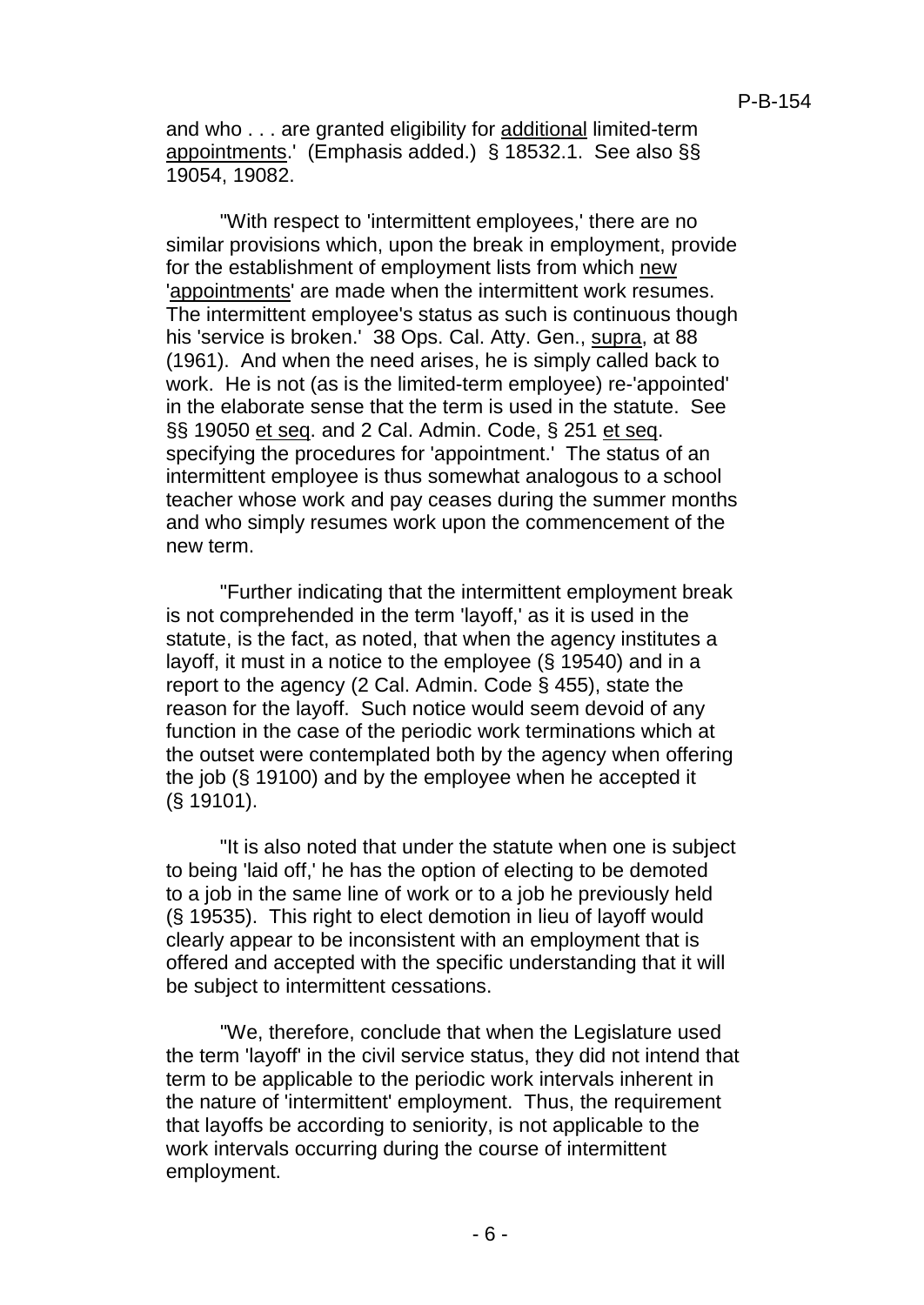and who . . . are granted eligibility for additional limited-term appointments.' (Emphasis added.) § 18532.1. See also §§ 19054, 19082.

"With respect to 'intermittent employees,' there are no similar provisions which, upon the break in employment, provide for the establishment of employment lists from which new 'appointments' are made when the intermittent work resumes. The intermittent employee's status as such is continuous though his 'service is broken.' 38 Ops. Cal. Atty. Gen., supra, at 88 (1961). And when the need arises, he is simply called back to work. He is not (as is the limited-term employee) re-'appointed' in the elaborate sense that the term is used in the statute. See §§ 19050 et seq. and 2 Cal. Admin. Code, § 251 et seq. specifying the procedures for 'appointment.' The status of an intermittent employee is thus somewhat analogous to a school teacher whose work and pay ceases during the summer months and who simply resumes work upon the commencement of the new term.

"Further indicating that the intermittent employment break is not comprehended in the term 'layoff,' as it is used in the statute, is the fact, as noted, that when the agency institutes a layoff, it must in a notice to the employee (§ 19540) and in a report to the agency (2 Cal. Admin. Code § 455), state the reason for the layoff. Such notice would seem devoid of any function in the case of the periodic work terminations which at the outset were contemplated both by the agency when offering the job (§ 19100) and by the employee when he accepted it (§ 19101).

"It is also noted that under the statute when one is subject to being 'laid off,' he has the option of electing to be demoted to a job in the same line of work or to a job he previously held (§ 19535). This right to elect demotion in lieu of layoff would clearly appear to be inconsistent with an employment that is offered and accepted with the specific understanding that it will be subject to intermittent cessations.

"We, therefore, conclude that when the Legislature used the term 'layoff' in the civil service status, they did not intend that term to be applicable to the periodic work intervals inherent in the nature of 'intermittent' employment. Thus, the requirement that layoffs be according to seniority, is not applicable to the work intervals occurring during the course of intermittent employment.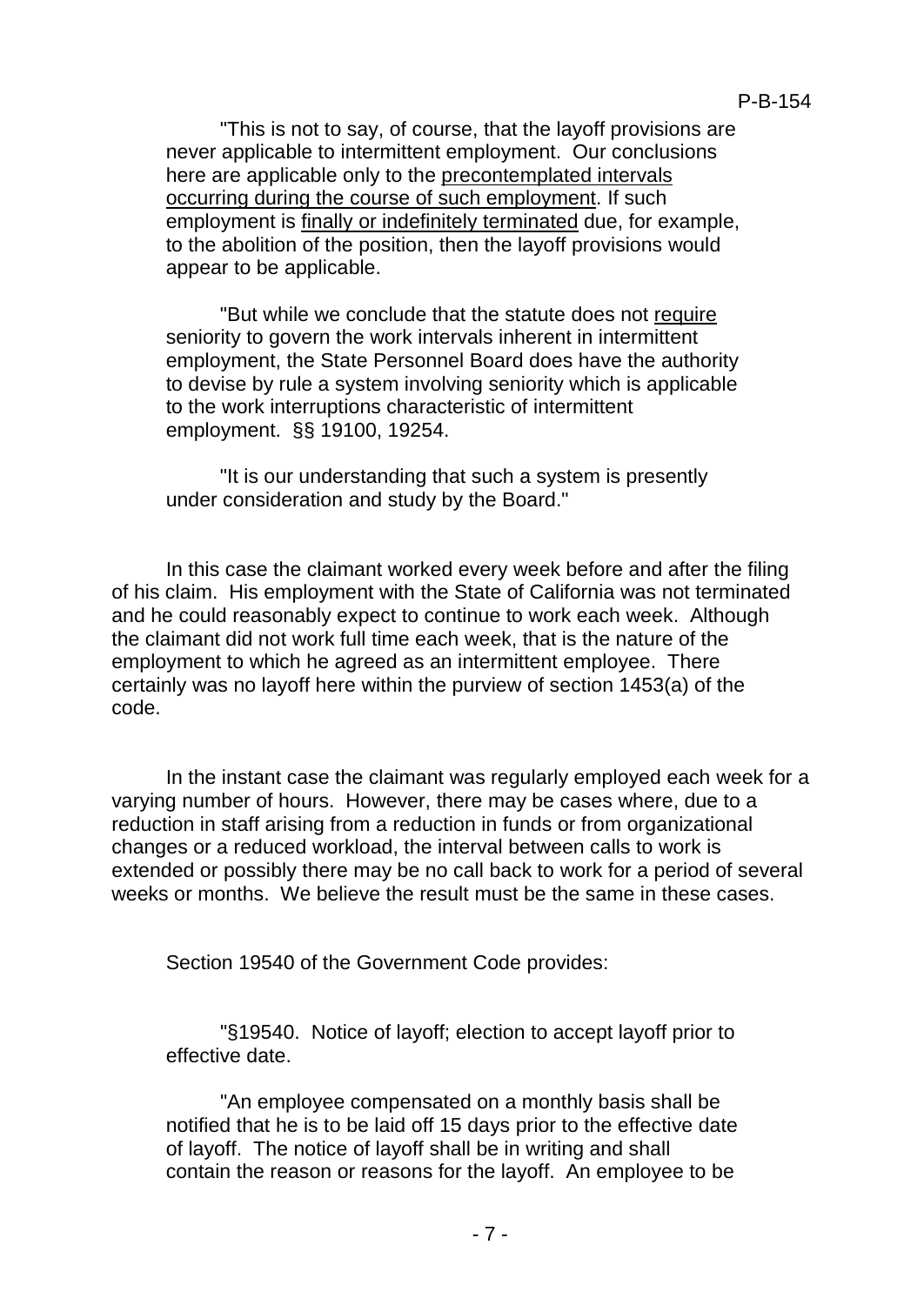"This is not to say, of course, that the layoff provisions are never applicable to intermittent employment. Our conclusions here are applicable only to the precontemplated intervals occurring during the course of such employment. If such employment is finally or indefinitely terminated due, for example, to the abolition of the position, then the layoff provisions would appear to be applicable.

"But while we conclude that the statute does not require seniority to govern the work intervals inherent in intermittent employment, the State Personnel Board does have the authority to devise by rule a system involving seniority which is applicable to the work interruptions characteristic of intermittent employment. §§ 19100, 19254.

"It is our understanding that such a system is presently under consideration and study by the Board."

In this case the claimant worked every week before and after the filing of his claim. His employment with the State of California was not terminated and he could reasonably expect to continue to work each week. Although the claimant did not work full time each week, that is the nature of the employment to which he agreed as an intermittent employee. There certainly was no layoff here within the purview of section 1453(a) of the code.

In the instant case the claimant was regularly employed each week for a varying number of hours. However, there may be cases where, due to a reduction in staff arising from a reduction in funds or from organizational changes or a reduced workload, the interval between calls to work is extended or possibly there may be no call back to work for a period of several weeks or months. We believe the result must be the same in these cases.

Section 19540 of the Government Code provides:

"§19540. Notice of layoff; election to accept layoff prior to effective date.

"An employee compensated on a monthly basis shall be notified that he is to be laid off 15 days prior to the effective date of layoff. The notice of layoff shall be in writing and shall contain the reason or reasons for the layoff. An employee to be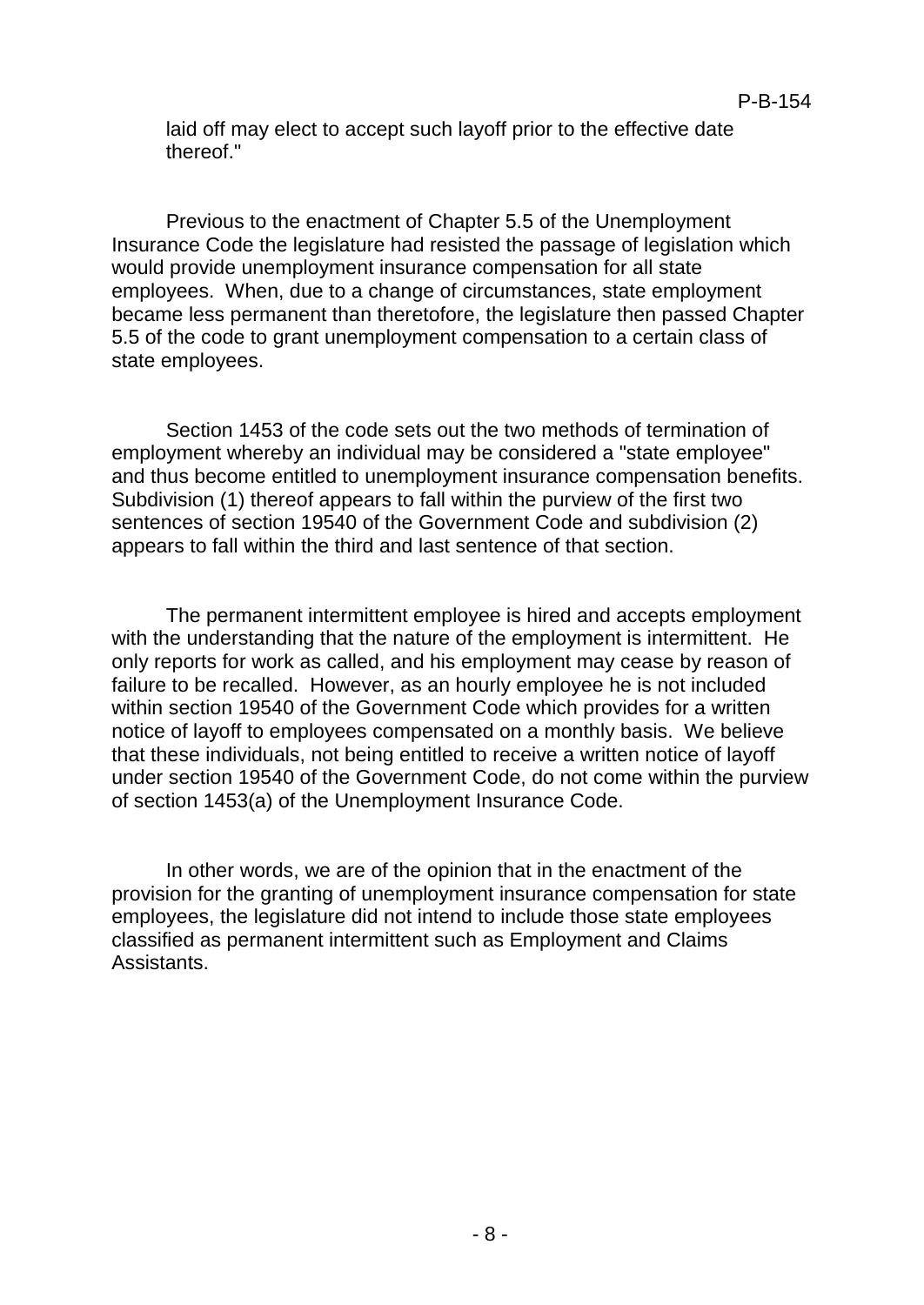laid off may elect to accept such layoff prior to the effective date thereof."

Previous to the enactment of Chapter 5.5 of the Unemployment Insurance Code the legislature had resisted the passage of legislation which would provide unemployment insurance compensation for all state employees. When, due to a change of circumstances, state employment became less permanent than theretofore, the legislature then passed Chapter 5.5 of the code to grant unemployment compensation to a certain class of state employees.

Section 1453 of the code sets out the two methods of termination of employment whereby an individual may be considered a "state employee" and thus become entitled to unemployment insurance compensation benefits. Subdivision (1) thereof appears to fall within the purview of the first two sentences of section 19540 of the Government Code and subdivision (2) appears to fall within the third and last sentence of that section.

The permanent intermittent employee is hired and accepts employment with the understanding that the nature of the employment is intermittent. He only reports for work as called, and his employment may cease by reason of failure to be recalled. However, as an hourly employee he is not included within section 19540 of the Government Code which provides for a written notice of layoff to employees compensated on a monthly basis. We believe that these individuals, not being entitled to receive a written notice of layoff under section 19540 of the Government Code, do not come within the purview of section 1453(a) of the Unemployment Insurance Code.

In other words, we are of the opinion that in the enactment of the provision for the granting of unemployment insurance compensation for state employees, the legislature did not intend to include those state employees classified as permanent intermittent such as Employment and Claims Assistants.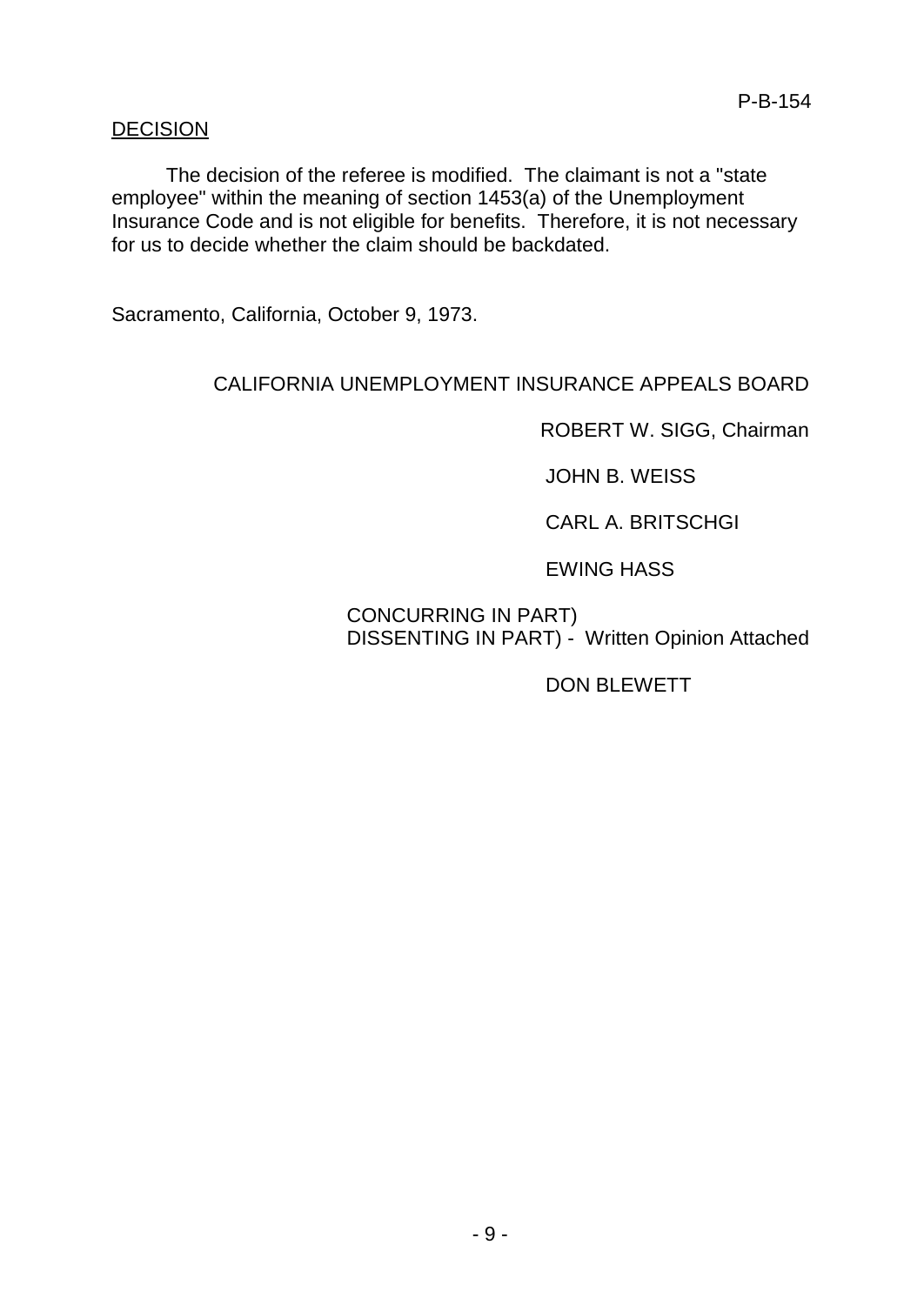# DECISION

The decision of the referee is modified. The claimant is not a "state employee" within the meaning of section 1453(a) of the Unemployment Insurance Code and is not eligible for benefits. Therefore, it is not necessary for us to decide whether the claim should be backdated.

Sacramento, California, October 9, 1973.

# CALIFORNIA UNEMPLOYMENT INSURANCE APPEALS BOARD

ROBERT W. SIGG, Chairman

JOHN B. WEISS

CARL A. BRITSCHGI

EWING HASS

# CONCURRING IN PART) DISSENTING IN PART) - Written Opinion Attached

DON BLEWETT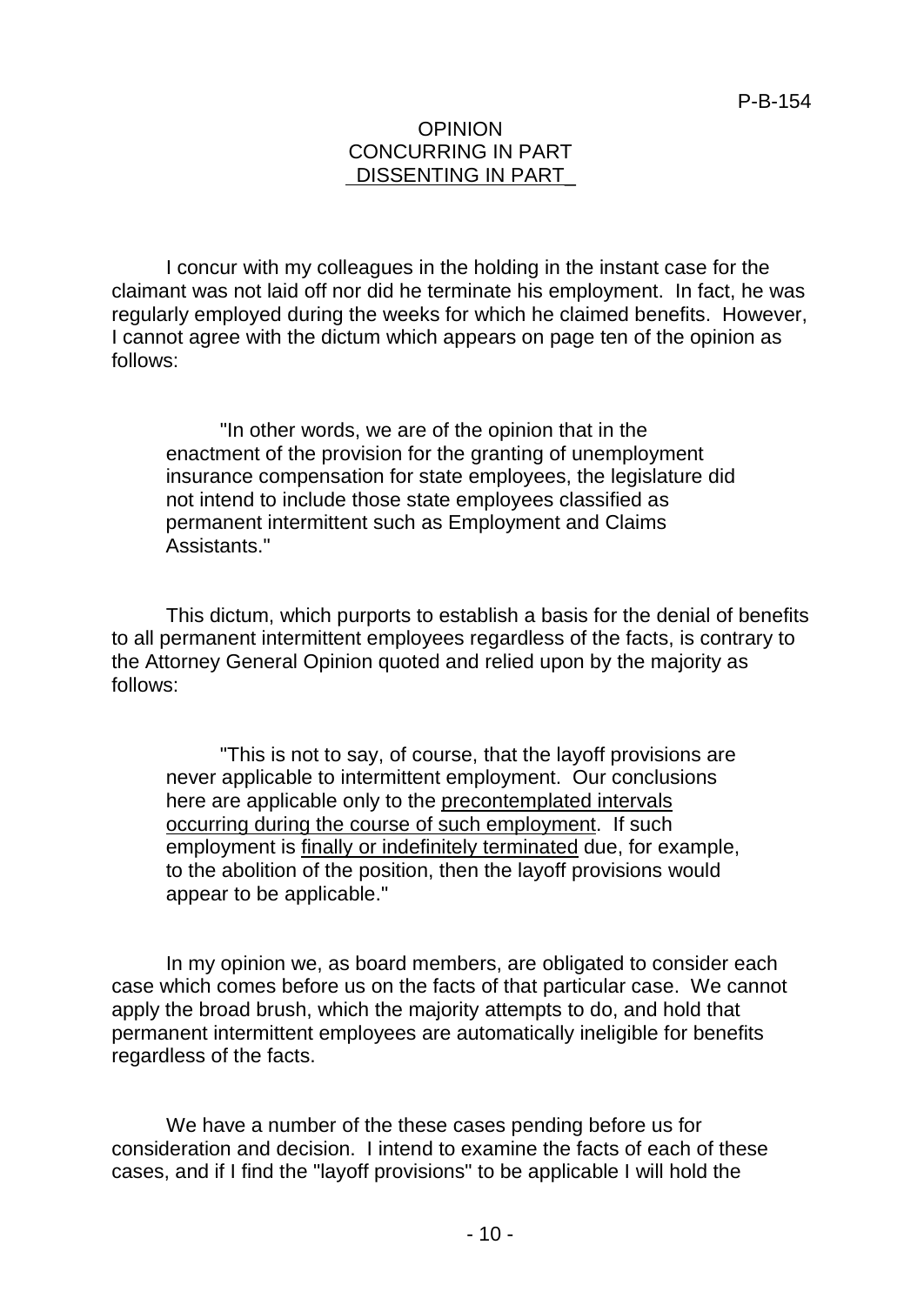### **OPINION** CONCURRING IN PART DISSENTING IN PART

I concur with my colleagues in the holding in the instant case for the claimant was not laid off nor did he terminate his employment. In fact, he was regularly employed during the weeks for which he claimed benefits. However, I cannot agree with the dictum which appears on page ten of the opinion as follows:

"In other words, we are of the opinion that in the enactment of the provision for the granting of unemployment insurance compensation for state employees, the legislature did not intend to include those state employees classified as permanent intermittent such as Employment and Claims Assistants."

This dictum, which purports to establish a basis for the denial of benefits to all permanent intermittent employees regardless of the facts, is contrary to the Attorney General Opinion quoted and relied upon by the majority as follows:

"This is not to say, of course, that the layoff provisions are never applicable to intermittent employment. Our conclusions here are applicable only to the precontemplated intervals occurring during the course of such employment. If such employment is finally or indefinitely terminated due, for example, to the abolition of the position, then the layoff provisions would appear to be applicable."

In my opinion we, as board members, are obligated to consider each case which comes before us on the facts of that particular case. We cannot apply the broad brush, which the majority attempts to do, and hold that permanent intermittent employees are automatically ineligible for benefits regardless of the facts.

We have a number of the these cases pending before us for consideration and decision. I intend to examine the facts of each of these cases, and if I find the "layoff provisions" to be applicable I will hold the